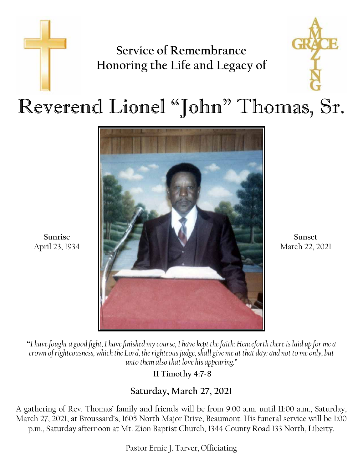## **Service of Remembrance Honoring the Life and Legacy of**



## Reverend Lionel "John" Thomas, Sr.



**Sunrise** April 23, 1934

**Sunset** March 22, 2021

**"***I have fought a good fight, I have finished my course, I have kept the faith: Henceforth there is laid up for me a crown of righteousness, which the Lord, the righteous judge, shall give me at that day: and not to me only, but unto them also that love his appearing."*

 **II Timothy 4:7-8**

### **Saturday, March 27, 2021**

A gathering of Rev. Thomas' family and friends will be from 9:00 a.m. until 11:00 a.m., Saturday, March 27, 2021, at Broussard's, 1605 North Major Drive, Beaumont. His funeral service will be 1:00 p.m., Saturday afternoon at Mt. Zion Baptist Church, 1344 County Road 133 North, Liberty.

Pastor Ernie J. Tarver, Officiating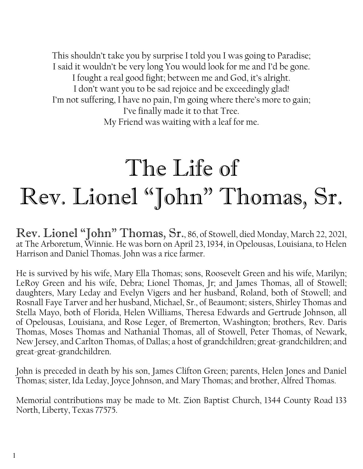This shouldn't take you by surprise I told you I was going to Paradise; I said it wouldn't be very long You would look for me and I'd be gone. I fought a real good fight; between me and God, it's alright. I don't want you to be sad rejoice and be exceedingly glad! I'm not suffering, I have no pain, I'm going where there's more to gain; I've finally made it to that Tree. My Friend was waiting with a leaf for me.

# The Life of Rev. Lionel "John" Thomas, Sr.

Rev. Lionel "John" Thomas, Sr., 86, of Stowell, died Monday, March 22, 2021, at The Arboretum, Winnie. He was born on April 23, 1934, in Opelousas, Louisiana, to Helen Harrison and Daniel Thomas. John was a rice farmer.

He is survived by his wife, Mary Ella Thomas; sons, Roosevelt Green and his wife, Marilyn; LeRoy Green and his wife, Debra; Lionel Thomas, Jr; and James Thomas, all of Stowell; daughters, Mary Leday and Evelyn Vigers and her husband, Roland, both of Stowell; and Rosnall Faye Tarver and her husband, Michael, Sr., of Beaumont; sisters, Shirley Thomas and Stella Mayo, both of Florida, Helen Williams, Theresa Edwards and Gertrude Johnson, all of Opelousas, Louisiana, and Rose Leger, of Bremerton, Washington; brothers, Rev. Daris Thomas, Moses Thomas and Nathanial Thomas, all of Stowell, Peter Thomas, of Newark, New Jersey, and Carlton Thomas, of Dallas; a host of grandchildren; great-grandchildren; and great-great-grandchildren.

John is preceded in death by his son, James Clifton Green; parents, Helen Jones and Daniel Thomas; sister, Ida Leday, Joyce Johnson, and Mary Thomas; and brother, Alfred Thomas.

Memorial contributions may be made to Mt. Zion Baptist Church, 1344 County Road 133 North, Liberty, Texas 77575.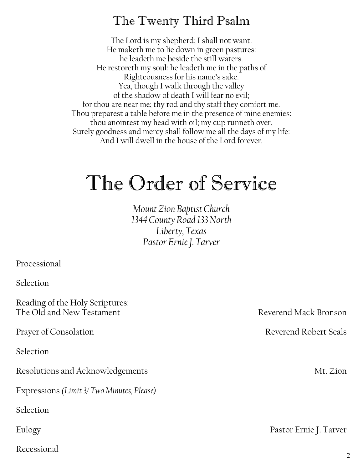## The Twenty Third Psalm

The Lord is my shepherd; I shall not want. He maketh me to lie down in green pastures: he leadeth me beside the still waters. He restoreth my soul: he leadeth me in the paths of Righteousness for his name's sake. Yea, though I walk through the valley of the shadow of death I will fear no evil; for thou are near me; thy rod and thy staff they comfort me. Thou preparest a table before me in the presence of mine enemies: thou anointest my head with oil; my cup runneth over. Surely goodness and mercy shall follow me all the days of my life: And I will dwell in the house of the Lord forever.

## The Order of Service

*Mount Zion Baptist Church 1344 County Road 133 North Liberty, Texas Pastor Ernie J. Tarver*

Processional

Selection

Reading of the Holy Scriptures: The Old and New Testament The Old and New Testament

Selection

Resolutions and Acknowledgements Mt. Zion

Expressions *(Limit 3/ Two Minutes, Please)*

Selection

Recessional

Prayer of Consolation **Reverend Robert Seals** 

Eulogy Pastor Ernie J. Tarver